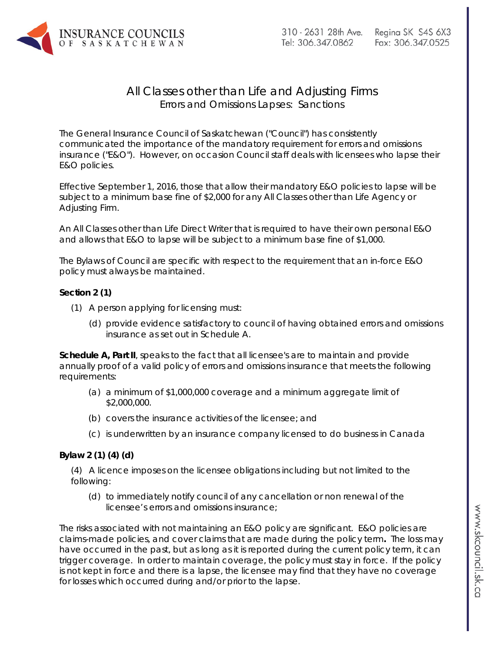

## All Classes other than Life and Adjusting Firms Errors and Omissions Lapses: Sanctions

The General Insurance Council of Saskatchewan ("Council") has consistently communicated the importance of the mandatory requirement for errors and omissions insurance ("E&O"). However, on occasion Council staff deals with licensees who lapse their E&O policies.

Effective September 1, 2016, those that allow their mandatory E&O policies to lapse will be subject to a minimum base fine of \$2,000 for any All Classes other than Life Agency or Adjusting Firm.

An All Classes other than Life Direct Writer that is required to have their own personal E&O and allows that E&O to lapse will be subject to a minimum base fine of \$1,000.

The Bylaws of Council are specific with respect to the requirement that an in-force E&O policy must always be maintained.

## **Section 2 (1)**

- (1) A person applying for licensing must:
	- (d) provide evidence satisfactory to council of having obtained errors and omissions insurance as set out in Schedule A.

**Schedule A, Part II**, speaks to the fact that all licensee's are to maintain and provide annually proof of a valid policy of errors and omissions insurance that meets the following requirements:

- (a) a minimum of \$1,000,000 coverage and a minimum aggregate limit of \$2,000,000.
- (b) covers the insurance activities of the licensee; and
- (c) is underwritten by an insurance company licensed to do business in Canada

## **Bylaw 2 (1) (4) (d)**

(4) A licence imposes on the licensee obligations including but not limited to the following:

(d) to immediately notify council of any cancellation or non renewal of the licensee's errors and omissions insurance;

The risks associated with not maintaining an E&O policy are significant. E&O policies are claims-made policies, and cover claims that are made during the policy term**.** The loss may have occurred in the past, but as long as it is reported during the current policy term, it can trigger coverage. In order to maintain coverage, the policy must stay in force. If the policy is not kept in force and there is a lapse, the licensee may find that they have no coverage for losses which occurred during and/or prior to the lapse.